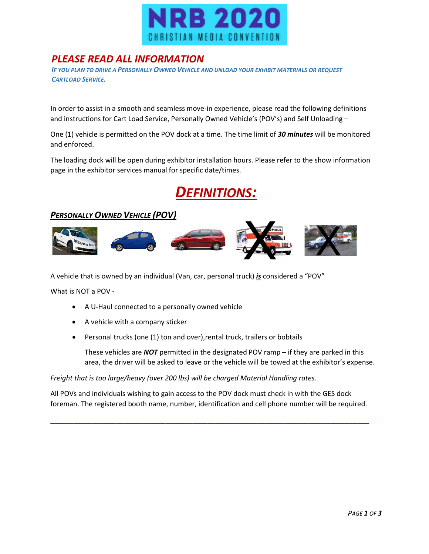

#### *PLEASE READ ALL INFORMATION*

*IF YOU PLAN TO DRIVE A PERSONALLY OWNED VEHICLE AND UNLOAD YOUR EXHIBIT MATERIALS OR REQUEST CARTLOAD SERVICE.*

In order to assist in a smooth and seamless move-in experience, please read the following definitions and instructions for Cart Load Service, Personally Owned Vehicle's (POV's) and Self Unloading –

One (1) vehicle is permitted on the POV dock at a time. The time limit of *30 minutes* will be monitored and enforced.

The loading dock will be open during exhibitor installation hours. Please refer to the show information page in the exhibitor services manual for specific date/times.

# *DEFINITIONS:*

#### *PERSONALLY OWNED VEHICLE (POV)*



A vehicle that is owned by an individual (Van, car, personal truck) *is* considered a "POV"

What is NOT a POV -

- A U-Haul connected to a personally owned vehicle
- A vehicle with a company sticker
- Personal trucks (one (1) ton and over),rental truck, trailers or bobtails

These vehicles are *NOT* permitted in the designated POV ramp – if they are parked in this area, the driver will be asked to leave or the vehicle will be towed at the exhibitor's expense.

*Freight that is too large/heavy (over 200 lbs) will be charged Material Handling rates.*

All POVs and individuals wishing to gain access to the POV dock must check in with the GES dock foreman. The registered booth name, number, identification and cell phone number will be required.

**\_\_\_\_\_\_\_\_\_\_\_\_\_\_\_\_\_\_\_\_\_\_\_\_\_\_\_\_\_\_\_\_\_\_\_\_\_\_\_\_\_\_\_\_\_\_\_\_\_\_\_\_\_\_\_\_\_\_\_\_\_\_\_\_\_\_\_\_\_\_\_\_\_\_\_\_\_\_\_\_\_\_\_**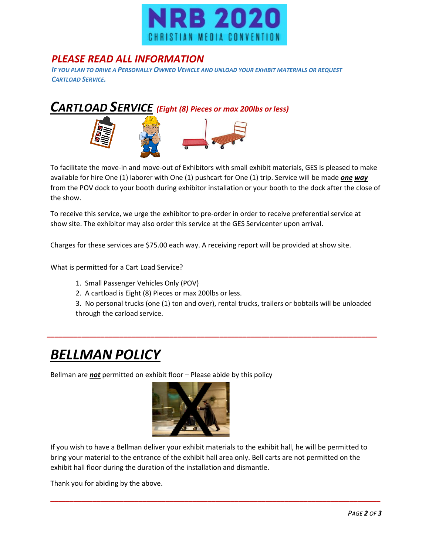

#### *PLEASE READ ALL INFORMATION*

*IF YOU PLAN TO DRIVE A PERSONALLY OWNED VEHICLE AND UNLOAD YOUR EXHIBIT MATERIALS OR REQUEST CARTLOAD SERVICE.*



To facilitate the move-in and move-out of Exhibitors with small exhibit materials, GES is pleased to make available for hire One (1) laborer with One (1) pushcart for One (1) trip. Service will be made *one way* from the POV dock to your booth during exhibitor installation or your booth to the dock after the close of the show.

To receive this service, we urge the exhibitor to pre-order in order to receive preferential service at show site. The exhibitor may also order this service at the GES Servicenter upon arrival.

Charges for these services are \$75.00 each way. A receiving report will be provided at show site.

What is permitted for a Cart Load Service?

- 1. Small Passenger Vehicles Only (POV)
- 2. A cartload is Eight (8) Pieces or max 200lbs orless.

3. No personal trucks (one (1) ton and over), rental trucks, trailers or bobtails will be unloaded through the carload service.

**\_\_\_\_\_\_\_\_\_\_\_\_\_\_\_\_\_\_\_\_\_\_\_\_\_\_\_\_\_\_\_\_\_\_\_\_\_\_\_\_\_\_\_\_\_\_\_\_\_\_\_\_\_\_\_\_\_\_\_\_\_\_\_\_\_\_\_\_\_\_\_\_\_\_\_\_\_\_\_\_\_\_\_\_\_\_**

## *BELLMAN POLICY*

Bellman are *not* permitted on exhibit floor – Please abide by this policy



If you wish to have a Bellman deliver your exhibit materials to the exhibit hall, he will be permitted to bring your material to the entrance of the exhibit hall area only. Bell carts are not permitted on the exhibit hall floor during the duration of the installation and dismantle.

**\_\_\_\_\_\_\_\_\_\_\_\_\_\_\_\_\_\_\_\_\_\_\_\_\_\_\_\_\_\_\_\_\_\_\_\_\_\_\_\_\_\_\_\_\_\_\_\_\_\_\_\_\_\_\_\_\_\_\_\_\_\_\_\_\_\_\_\_\_\_\_\_\_\_\_\_\_\_\_\_\_\_\_\_\_\_**

Thank you for abiding by the above.